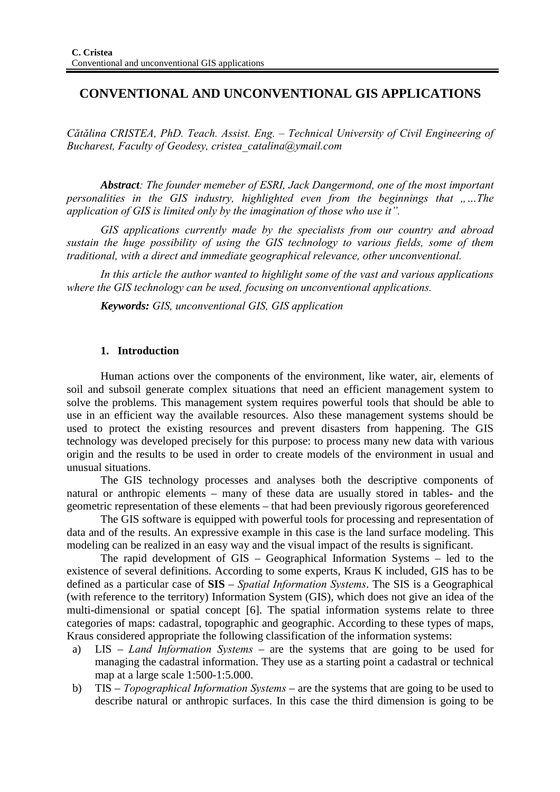# **CONVENTIONAL AND UNCONVENTIONAL GIS APPLICATIONS**

*Cătălina CRISTEA, PhD. Teach. Assist. Eng. – Technical University of Civil Engineering of Bucharest, Faculty of Geodesy, cristea\_catalina@ymail.com* 

*Abstract: The founder memeber of ESRI, Jack Dangermond, one of the most important personalities in the GIS industry, highlighted even from the beginnings that "...The application of GIS is limited only by the imagination of those who use it".* 

*GIS applications currently made by the specialists from our country and abroad sustain the huge possibility of using the GIS technology to various fields, some of them traditional, with a direct and immediate geographical relevance, other unconventional.* 

*In this article the author wanted to highlight some of the vast and various applications where the GIS technology can be used, focusing on unconventional applications.* 

*Keywords: GIS, unconventional GIS, GIS application* 

### **1. Introduction**

Human actions over the components of the environment, like water, air, elements of soil and subsoil generate complex situations that need an efficient management system to solve the problems. This management system requires powerful tools that should be able to use in an efficient way the available resources. Also these management systems should be used to protect the existing resources and prevent disasters from happening. The GIS technology was developed precisely for this purpose: to process many new data with various origin and the results to be used in order to create models of the environment in usual and unusual situations.

The GIS technology processes and analyses both the descriptive components of natural or anthropic elements – many of these data are usually stored in tables- and the geometric representation of these elements – that had been previously rigorous georeferenced

The GIS software is equipped with powerful tools for processing and representation of data and of the results. An expressive example in this case is the land surface modeling. This modeling can be realized in an easy way and the visual impact of the results is significant.

The rapid development of GIS – Geographical Information Systems – led to the existence of several definitions. According to some experts, Kraus K included, GIS has to be defined as a particular case of **SIS** – *Spatial Information Systems*. The SIS is a Geographical (with reference to the territory) Information System (GIS), which does not give an idea of the multi-dimensional or spatial concept [6]. The spatial information systems relate to three categories of maps: cadastral, topographic and geographic. According to these types of maps, Kraus considered appropriate the following classification of the information systems:

- a) LIS *Land Information Systems* are the systems that are going to be used for managing the cadastral information. They use as a starting point a cadastral or technical map at a large scale 1:500-1:5.000.
- b) TIS *Topographical Information Systems* are the systems that are going to be used to describe natural or anthropic surfaces. In this case the third dimension is going to be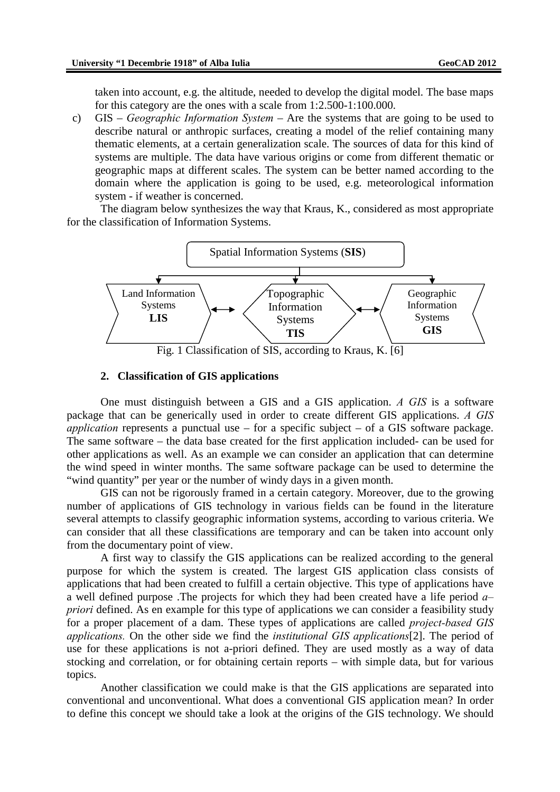taken into account, e.g. the altitude, needed to develop the digital model. The base maps for this category are the ones with a scale from 1:2.500-1:100.000.

c) GIS – *Geographic Information System* – Are the systems that are going to be used to describe natural or anthropic surfaces, creating a model of the relief containing many thematic elements, at a certain generalization scale. The sources of data for this kind of systems are multiple. The data have various origins or come from different thematic or geographic maps at different scales. The system can be better named according to the domain where the application is going to be used, e.g. meteorological information system - if weather is concerned.

The diagram below synthesizes the way that Kraus, K., considered as most appropriate for the classification of Information Systems.



#### **2. Classification of GIS applications**

One must distinguish between a GIS and a GIS application. *A GIS* is a software package that can be generically used in order to create different GIS applications. *A GIS application* represents a punctual use – for a specific subject – of a GIS software package. The same software – the data base created for the first application included- can be used for other applications as well. As an example we can consider an application that can determine the wind speed in winter months. The same software package can be used to determine the "wind quantity" per year or the number of windy days in a given month.

GIS can not be rigorously framed in a certain category. Moreover, due to the growing number of applications of GIS technology in various fields can be found in the literature several attempts to classify geographic information systems, according to various criteria. We can consider that all these classifications are temporary and can be taken into account only from the documentary point of view.

A first way to classify the GIS applications can be realized according to the general purpose for which the system is created. The largest GIS application class consists of applications that had been created to fulfill a certain objective. This type of applications have a well defined purpose .The projects for which they had been created have a life period *a– priori* defined. As en example for this type of applications we can consider a feasibility study for a proper placement of a dam. These types of applications are called *project-based GIS applications.* On the other side we find the *institutional GIS applications*[2]. The period of use for these applications is not a-priori defined. They are used mostly as a way of data stocking and correlation, or for obtaining certain reports – with simple data, but for various topics.

Another classification we could make is that the GIS applications are separated into conventional and unconventional. What does a conventional GIS application mean? In order to define this concept we should take a look at the origins of the GIS technology. We should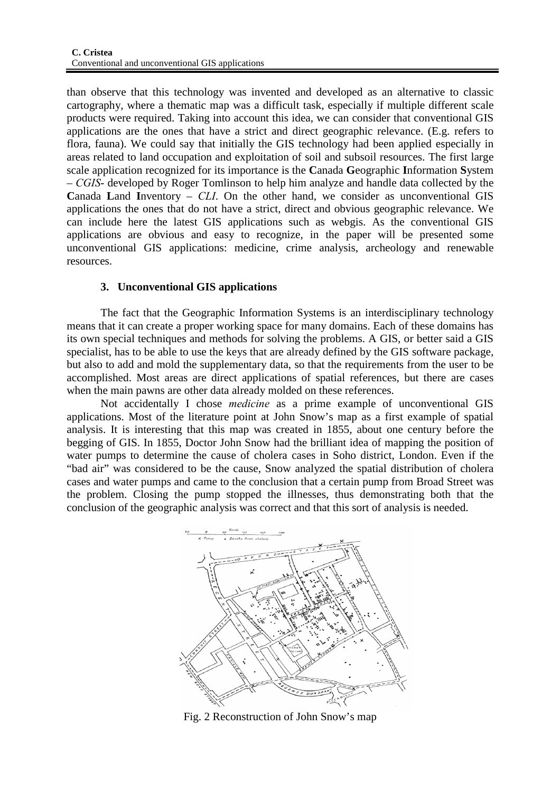than observe that this technology was invented and developed as an alternative to classic cartography, where a thematic map was a difficult task, especially if multiple different scale products were required. Taking into account this idea, we can consider that conventional GIS applications are the ones that have a strict and direct geographic relevance. (E.g. refers to flora, fauna). We could say that initially the GIS technology had been applied especially in areas related to land occupation and exploitation of soil and subsoil resources. The first large scale application recognized for its importance is the **C**anada **G**eographic **I**nformation **S**ystem – *CGIS*- developed by Roger Tomlinson to help him analyze and handle data collected by the **C**anada **L**and **I**nventory – *CLI*. On the other hand, we consider as unconventional GIS applications the ones that do not have a strict, direct and obvious geographic relevance. We can include here the latest GIS applications such as webgis. As the conventional GIS applications are obvious and easy to recognize, in the paper will be presented some unconventional GIS applications: medicine, crime analysis, archeology and renewable resources.

## **3. Unconventional GIS applications**

The fact that the Geographic Information Systems is an interdisciplinary technology means that it can create a proper working space for many domains. Each of these domains has its own special techniques and methods for solving the problems. A GIS, or better said a GIS specialist, has to be able to use the keys that are already defined by the GIS software package, but also to add and mold the supplementary data, so that the requirements from the user to be accomplished. Most areas are direct applications of spatial references, but there are cases when the main pawns are other data already molded on these references.

Not accidentally I chose *medicine* as a prime example of unconventional GIS applications. Most of the literature point at John Snow's map as a first example of spatial analysis. It is interesting that this map was created in 1855, about one century before the begging of GIS. In 1855, Doctor John Snow had the brilliant idea of mapping the position of water pumps to determine the cause of cholera cases in Soho district, London. Even if the "bad air" was considered to be the cause, Snow analyzed the spatial distribution of cholera cases and water pumps and came to the conclusion that a certain pump from Broad Street was the problem. Closing the pump stopped the illnesses, thus demonstrating both that the conclusion of the geographic analysis was correct and that this sort of analysis is needed.



Fig. 2 Reconstruction of John Snow's map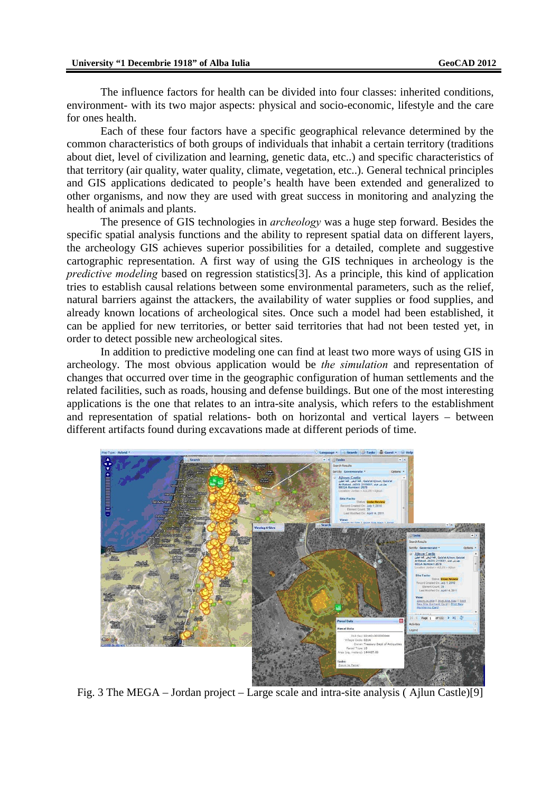The influence factors for health can be divided into four classes: inherited conditions, environment- with its two major aspects: physical and socio-economic, lifestyle and the care for ones health.

Each of these four factors have a specific geographical relevance determined by the common characteristics of both groups of individuals that inhabit a certain territory (traditions about diet, level of civilization and learning, genetic data, etc..) and specific characteristics of that territory (air quality, water quality, climate, vegetation, etc..). General technical principles and GIS applications dedicated to people's health have been extended and generalized to other organisms, and now they are used with great success in monitoring and analyzing the health of animals and plants.

The presence of GIS technologies in *archeology* was a huge step forward. Besides the specific spatial analysis functions and the ability to represent spatial data on different layers, the archeology GIS achieves superior possibilities for a detailed, complete and suggestive cartographic representation. A first way of using the GIS techniques in archeology is the *predictive modeling* based on regression statistics[3]. As a principle, this kind of application tries to establish causal relations between some environmental parameters, such as the relief, natural barriers against the attackers, the availability of water supplies or food supplies, and already known locations of archeological sites. Once such a model had been established, it can be applied for new territories, or better said territories that had not been tested yet, in order to detect possible new archeological sites.

In addition to predictive modeling one can find at least two more ways of using GIS in archeology. The most obvious application would be *the simulation* and representation of changes that occurred over time in the geographic configuration of human settlements and the related facilities, such as roads, housing and defense buildings. But one of the most interesting applications is the one that relates to an intra-site analysis, which refers to the establishment and representation of spatial relations- both on horizontal and vertical layers – between different artifacts found during excavations made at different periods of time.



Fig. 3 The MEGA – Jordan project – Large scale and intra-site analysis ( Ajlun Castle)[9]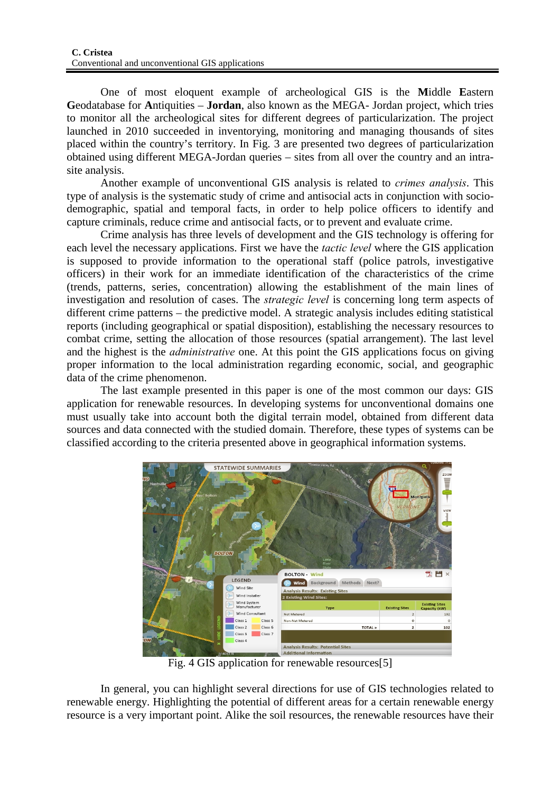One of most eloquent example of archeological GIS is the **M**iddle **E**astern **G**eodatabase for **A**ntiquities – **Jordan**, also known as the MEGA- Jordan project, which tries to monitor all the archeological sites for different degrees of particularization. The project launched in 2010 succeeded in inventorying, monitoring and managing thousands of sites placed within the country's territory. In Fig. 3 are presented two degrees of particularization obtained using different MEGA-Jordan queries – sites from all over the country and an intrasite analysis.

Another example of unconventional GIS analysis is related to *crimes analysis*. This type of analysis is the systematic study of crime and antisocial acts in conjunction with sociodemographic, spatial and temporal facts, in order to help police officers to identify and capture criminals, reduce crime and antisocial facts, or to prevent and evaluate crime.

Crime analysis has three levels of development and the GIS technology is offering for each level the necessary applications. First we have the *tactic level* where the GIS application is supposed to provide information to the operational staff (police patrols, investigative officers) in their work for an immediate identification of the characteristics of the crime (trends, patterns, series, concentration) allowing the establishment of the main lines of investigation and resolution of cases. The *strategic level* is concerning long term aspects of different crime patterns – the predictive model. A strategic analysis includes editing statistical reports (including geographical or spatial disposition), establishing the necessary resources to combat crime, setting the allocation of those resources (spatial arrangement). The last level and the highest is the *administrative* one. At this point the GIS applications focus on giving proper information to the local administration regarding economic, social, and geographic data of the crime phenomenon.

The last example presented in this paper is one of the most common our days: GIS application for renewable resources. In developing systems for unconventional domains one must usually take into account both the digital terrain model, obtained from different data sources and data connected with the studied domain. Therefore, these types of systems can be classified according to the criteria presented above in geographical information systems.



Fig. 4 GIS application for renewable resources[5]

In general, you can highlight several directions for use of GIS technologies related to renewable energy. Highlighting the potential of different areas for a certain renewable energy resource is a very important point. Alike the soil resources, the renewable resources have their